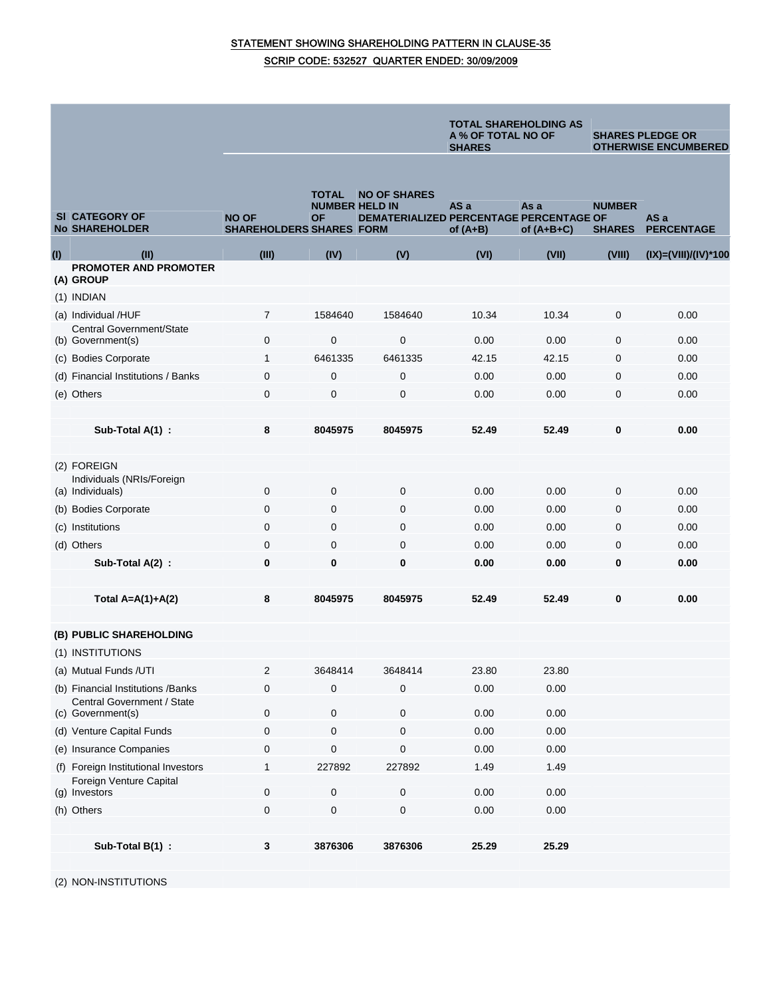## STATEMENT SHOWING SHAREHOLDING PATTERN IN CLAUSE-35 SCRIP CODE: 532527 QUARTER ENDED: 30/09/2009

|     |                                                              |                                                 |                                      |                                                                       | <b>TOTAL SHAREHOLDING AS</b><br>A % OF TOTAL NO OF<br><b>SHARES</b> |                      | <b>SHARES PLEDGE OR</b><br><b>OTHERWISE ENCUMBERED</b> |                           |
|-----|--------------------------------------------------------------|-------------------------------------------------|--------------------------------------|-----------------------------------------------------------------------|---------------------------------------------------------------------|----------------------|--------------------------------------------------------|---------------------------|
|     | <b>SI CATEGORY OF</b><br><b>No SHAREHOLDER</b>               | <b>NO OF</b><br><b>SHAREHOLDERS SHARES FORM</b> | TOTAL<br><b>NUMBER HELD IN</b><br>ΟF | <b>NO OF SHARES</b><br><b>DEMATERIALIZED PERCENTAGE PERCENTAGE OF</b> | AS a<br>of $(A+B)$                                                  | As a<br>of $(A+B+C)$ | <b>NUMBER</b><br><b>SHARES</b>                         | AS a<br><b>PERCENTAGE</b> |
| (1) | (II)                                                         | (III)                                           | (IV)                                 | (V)                                                                   | (VI)                                                                | (VII)                | (VIII)                                                 | $(IX)=(VIII)/(IV)*100$    |
|     | <b>PROMOTER AND PROMOTER</b><br>(A) GROUP                    |                                                 |                                      |                                                                       |                                                                     |                      |                                                        |                           |
|     | (1) INDIAN                                                   |                                                 |                                      |                                                                       |                                                                     |                      |                                                        |                           |
|     | (a) Individual /HUF                                          | 7                                               | 1584640                              | 1584640                                                               | 10.34                                                               | 10.34                | 0                                                      | 0.00                      |
|     | <b>Central Government/State</b>                              |                                                 |                                      |                                                                       |                                                                     |                      |                                                        |                           |
|     | (b) Government(s)                                            | 0                                               | 0                                    | $\mathbf 0$                                                           | 0.00                                                                | 0.00                 | 0                                                      | 0.00                      |
|     | (c) Bodies Corporate                                         | 1                                               | 6461335                              | 6461335                                                               | 42.15                                                               | 42.15                | 0                                                      | 0.00                      |
|     | (d) Financial Institutions / Banks                           | 0                                               | 0                                    | $\mathbf 0$                                                           | 0.00                                                                | 0.00                 | 0                                                      | 0.00                      |
|     | (e) Others                                                   | 0                                               | 0                                    | $\mathbf 0$                                                           | 0.00                                                                | 0.00                 | 0                                                      | 0.00                      |
|     | Sub-Total A(1) :                                             | 8                                               | 8045975                              | 8045975                                                               | 52.49                                                               | 52.49                | 0                                                      | 0.00                      |
|     |                                                              |                                                 |                                      |                                                                       |                                                                     |                      |                                                        |                           |
|     | (2) FOREIGN<br>Individuals (NRIs/Foreign<br>(a) Individuals) | $\mathbf 0$                                     | $\mathbf{0}$                         | $\mathbf 0$                                                           | 0.00                                                                | 0.00                 | 0                                                      | 0.00                      |
|     | (b) Bodies Corporate                                         | 0                                               | 0                                    | 0                                                                     | 0.00                                                                | 0.00                 | 0                                                      | 0.00                      |
|     | (c) Institutions                                             | $\overline{0}$                                  | 0                                    | $\mathbf 0$                                                           | 0.00                                                                | 0.00                 | 0                                                      | 0.00                      |
|     | (d) Others                                                   | 0                                               | 0                                    | $\mathbf 0$                                                           | 0.00                                                                | 0.00                 | 0                                                      | 0.00                      |
|     | Sub-Total A(2) :                                             | $\bf{0}$                                        | 0                                    | $\bf{0}$                                                              | 0.00                                                                | 0.00                 | 0                                                      | 0.00                      |
|     |                                                              |                                                 |                                      |                                                                       |                                                                     |                      |                                                        |                           |
|     | Total $A=A(1)+A(2)$                                          | 8                                               | 8045975                              | 8045975                                                               | 52.49                                                               | 52.49                | 0                                                      | 0.00                      |
|     |                                                              |                                                 |                                      |                                                                       |                                                                     |                      |                                                        |                           |
|     | (B) PUBLIC SHAREHOLDING                                      |                                                 |                                      |                                                                       |                                                                     |                      |                                                        |                           |
|     | (1) INSTITUTIONS                                             |                                                 |                                      |                                                                       |                                                                     |                      |                                                        |                           |
|     | (a) Mutual Funds /UTI                                        | 2                                               | 3648414                              | 3648414                                                               | 23.80                                                               | 23.80                |                                                        |                           |
|     | (b) Financial Institutions / Banks                           | 0                                               | 0                                    | $\mathbf 0$                                                           | 0.00                                                                | 0.00                 |                                                        |                           |
|     | Central Government / State<br>(c) Government(s)              | 0                                               | 0                                    | $\mathbf 0$                                                           | 0.00                                                                | 0.00                 |                                                        |                           |
|     | (d) Venture Capital Funds                                    | 0                                               | 0                                    | 0                                                                     | 0.00                                                                | 0.00                 |                                                        |                           |
|     | (e) Insurance Companies                                      | 0                                               | 0                                    | $\pmb{0}$                                                             | 0.00                                                                | 0.00                 |                                                        |                           |
|     | (f) Foreign Institutional Investors                          |                                                 | 227892                               | 227892                                                                | 1.49                                                                | 1.49                 |                                                        |                           |
|     | Foreign Venture Capital                                      | 0                                               | 0                                    | $\pmb{0}$                                                             | 0.00                                                                | 0.00                 |                                                        |                           |
|     | (g) Investors<br>(h) Others                                  | 0                                               | $\pmb{0}$                            | $\pmb{0}$                                                             | 0.00                                                                | 0.00                 |                                                        |                           |
|     |                                                              |                                                 |                                      |                                                                       |                                                                     |                      |                                                        |                           |
|     | Sub-Total B(1) :                                             | 3                                               | 3876306                              | 3876306                                                               | 25.29                                                               | 25.29                |                                                        |                           |
|     |                                                              |                                                 |                                      |                                                                       |                                                                     |                      |                                                        |                           |

(2) NON-INSTITUTIONS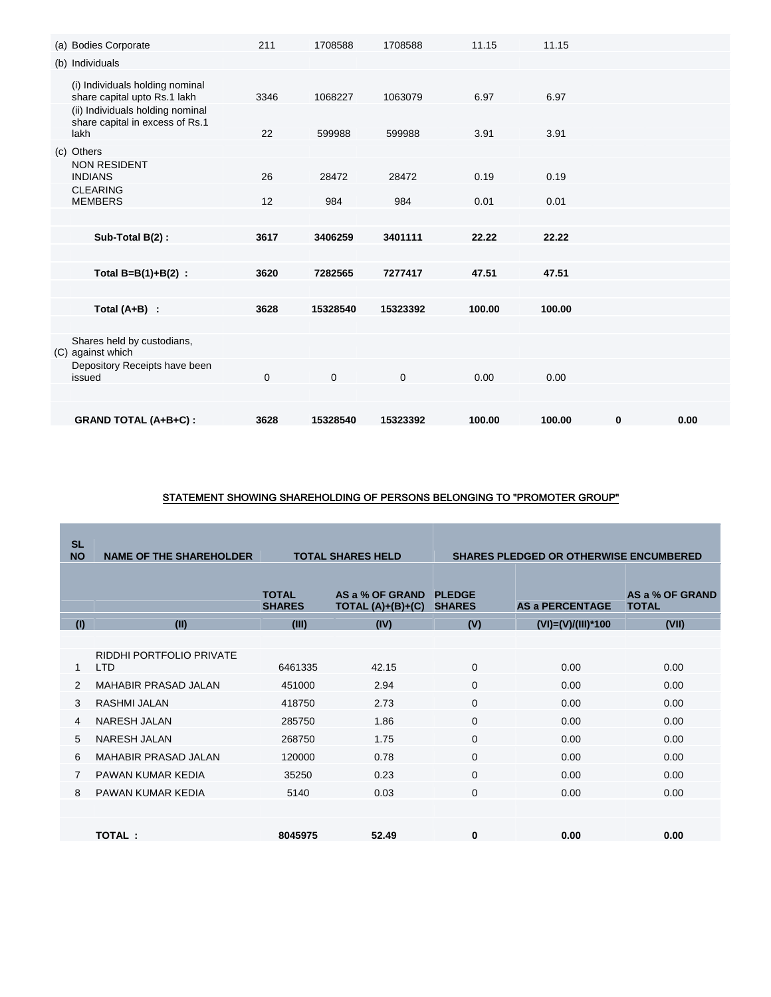| (a) Bodies Corporate                                                        | 211         | 1708588  | 1708588      | 11.15  | 11.15  |          |      |
|-----------------------------------------------------------------------------|-------------|----------|--------------|--------|--------|----------|------|
| (b) Individuals                                                             |             |          |              |        |        |          |      |
| (i) Individuals holding nominal<br>share capital upto Rs.1 lakh             | 3346        | 1068227  | 1063079      | 6.97   | 6.97   |          |      |
| (ii) Individuals holding nominal<br>share capital in excess of Rs.1<br>lakh | 22          | 599988   | 599988       | 3.91   | 3.91   |          |      |
| (c) Others                                                                  |             |          |              |        |        |          |      |
| <b>NON RESIDENT</b><br><b>INDIANS</b>                                       | 26          | 28472    | 28472        | 0.19   | 0.19   |          |      |
| <b>CLEARING</b><br><b>MEMBERS</b>                                           | 12          | 984      | 984          | 0.01   | 0.01   |          |      |
|                                                                             |             |          |              |        |        |          |      |
| Sub-Total B(2):                                                             | 3617        | 3406259  | 3401111      | 22.22  | 22.22  |          |      |
|                                                                             |             |          |              |        |        |          |      |
| Total $B=B(1)+B(2)$ :                                                       | 3620        | 7282565  | 7277417      | 47.51  | 47.51  |          |      |
|                                                                             |             |          |              |        |        |          |      |
| Total $(A+B)$ :                                                             | 3628        | 15328540 | 15323392     | 100.00 | 100.00 |          |      |
|                                                                             |             |          |              |        |        |          |      |
| Shares held by custodians,<br>(C) against which                             |             |          |              |        |        |          |      |
| Depository Receipts have been<br>issued                                     | $\mathbf 0$ | 0        | $\mathbf{0}$ | 0.00   | 0.00   |          |      |
|                                                                             |             |          |              |        |        |          |      |
| <b>GRAND TOTAL (A+B+C):</b>                                                 | 3628        | 15328540 | 15323392     | 100.00 | 100.00 | $\bf{0}$ | 0.00 |

# STATEMENT SHOWING SHAREHOLDING OF PERSONS BELONGING TO "PROMOTER GROUP"

| <b>SL</b><br><b>NO</b> | <b>NAME OF THE SHAREHOLDER</b>         | <b>TOTAL SHARES HELD</b>      |                                        |                                | <b>SHARES PLEDGED OR OTHERWISE ENCUMBERED</b> |                                 |
|------------------------|----------------------------------------|-------------------------------|----------------------------------------|--------------------------------|-----------------------------------------------|---------------------------------|
|                        |                                        | <b>TOTAL</b><br><b>SHARES</b> | AS a % OF GRAND<br>TOTAL $(A)+(B)+(C)$ | <b>PLEDGE</b><br><b>SHARES</b> | <b>AS a PERCENTAGE</b>                        | AS a % OF GRAND<br><b>TOTAL</b> |
| (1)                    | (II)                                   | (III)                         | (IV)                                   | (V)                            | $(VI) = (V)/(III)*100$                        | (VII)                           |
|                        |                                        |                               |                                        |                                |                                               |                                 |
| 1                      | RIDDHI PORTFOLIO PRIVATE<br><b>LTD</b> | 6461335                       | 42.15                                  | $\mathbf{0}$                   | 0.00                                          | 0.00                            |
| 2                      | <b>MAHABIR PRASAD JALAN</b>            | 451000                        | 2.94                                   | $\mathbf{0}$                   | 0.00                                          | 0.00                            |
| 3                      | RASHMI JALAN                           | 418750                        | 2.73                                   | $\Omega$                       | 0.00                                          | 0.00                            |
| 4                      | NARESH JALAN                           | 285750                        | 1.86                                   | $\Omega$                       | 0.00                                          | 0.00                            |
| 5                      | NARESH JALAN                           | 268750                        | 1.75                                   | $\mathbf{0}$                   | 0.00                                          | 0.00                            |
| 6                      | <b>MAHABIR PRASAD JALAN</b>            | 120000                        | 0.78                                   | $\mathbf{0}$                   | 0.00                                          | 0.00                            |
| $\overline{7}$         | PAWAN KUMAR KEDIA                      | 35250                         | 0.23                                   | $\Omega$                       | 0.00                                          | 0.00                            |
| 8                      | PAWAN KUMAR KEDIA                      | 5140                          | 0.03                                   | $\mathbf{0}$                   | 0.00                                          | 0.00                            |
|                        |                                        |                               |                                        |                                |                                               |                                 |
|                        | TOTAL:                                 | 8045975                       | 52.49                                  | $\bf{0}$                       | 0.00                                          | 0.00                            |